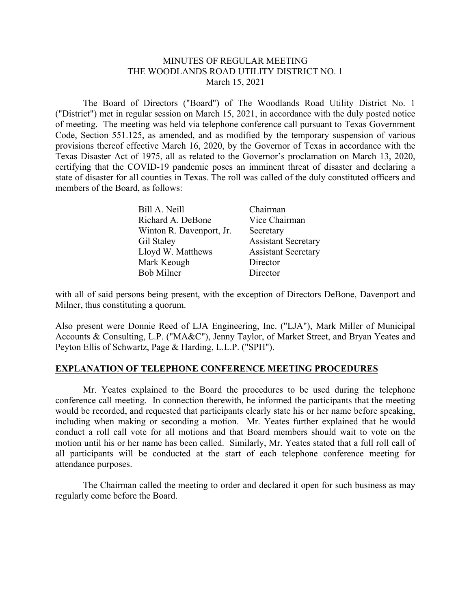# MINUTES OF REGULAR MEETING THE WOODLANDS ROAD UTILITY DISTRICT NO. 1 March 15, 2021

 The Board of Directors ("Board") of The Woodlands Road Utility District No. 1 ("District") met in regular session on March 15, 2021, in accordance with the duly posted notice of meeting. The meeting was held via telephone conference call pursuant to Texas Government Code, Section 551.125, as amended, and as modified by the temporary suspension of various provisions thereof effective March 16, 2020, by the Governor of Texas in accordance with the Texas Disaster Act of 1975, all as related to the Governor's proclamation on March 13, 2020, certifying that the COVID-19 pandemic poses an imminent threat of disaster and declaring a state of disaster for all counties in Texas. The roll was called of the duly constituted officers and members of the Board, as follows:

| Bill A. Neill            | Chairman                   |
|--------------------------|----------------------------|
| Richard A. DeBone        | Vice Chairman              |
| Winton R. Davenport, Jr. | Secretary                  |
| Gil Staley               | <b>Assistant Secretary</b> |
| Lloyd W. Matthews        | <b>Assistant Secretary</b> |
| Mark Keough              | Director                   |
| Bob Milner               | Director                   |

with all of said persons being present, with the exception of Directors DeBone, Davenport and Milner, thus constituting a quorum.

Also present were Donnie Reed of LJA Engineering, Inc. ("LJA"), Mark Miller of Municipal Accounts & Consulting, L.P. ("MA&C"), Jenny Taylor, of Market Street, and Bryan Yeates and Peyton Ellis of Schwartz, Page & Harding, L.L.P. ("SPH").

# **EXPLANATION OF TELEPHONE CONFERENCE MEETING PROCEDURES**

 Mr. Yeates explained to the Board the procedures to be used during the telephone conference call meeting. In connection therewith, he informed the participants that the meeting would be recorded, and requested that participants clearly state his or her name before speaking, including when making or seconding a motion. Mr. Yeates further explained that he would conduct a roll call vote for all motions and that Board members should wait to vote on the motion until his or her name has been called. Similarly, Mr. Yeates stated that a full roll call of all participants will be conducted at the start of each telephone conference meeting for attendance purposes.

 The Chairman called the meeting to order and declared it open for such business as may regularly come before the Board.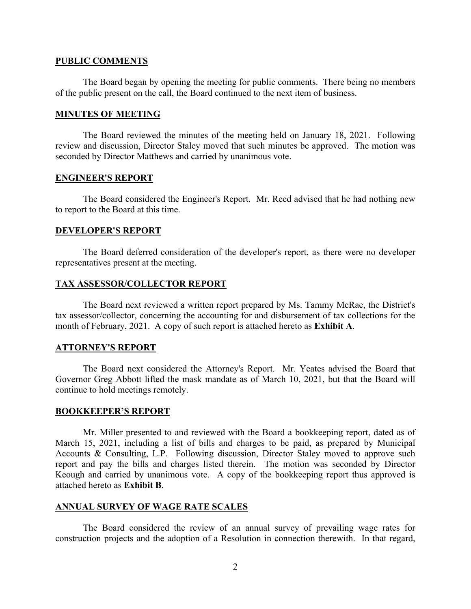#### **PUBLIC COMMENTS**

 The Board began by opening the meeting for public comments. There being no members of the public present on the call, the Board continued to the next item of business.

#### **MINUTES OF MEETING**

The Board reviewed the minutes of the meeting held on January 18, 2021. Following review and discussion, Director Staley moved that such minutes be approved. The motion was seconded by Director Matthews and carried by unanimous vote.

## **ENGINEER'S REPORT**

 The Board considered the Engineer's Report. Mr. Reed advised that he had nothing new to report to the Board at this time.

## **DEVELOPER'S REPORT**

 The Board deferred consideration of the developer's report, as there were no developer representatives present at the meeting.

## **TAX ASSESSOR/COLLECTOR REPORT**

 The Board next reviewed a written report prepared by Ms. Tammy McRae, the District's tax assessor/collector, concerning the accounting for and disbursement of tax collections for the month of February, 2021. A copy of such report is attached hereto as **Exhibit A**.

## **ATTORNEY'S REPORT**

 The Board next considered the Attorney's Report. Mr. Yeates advised the Board that Governor Greg Abbott lifted the mask mandate as of March 10, 2021, but that the Board will continue to hold meetings remotely.

#### **BOOKKEEPER'S REPORT**

Mr. Miller presented to and reviewed with the Board a bookkeeping report, dated as of March 15, 2021, including a list of bills and charges to be paid, as prepared by Municipal Accounts & Consulting, L.P. Following discussion, Director Staley moved to approve such report and pay the bills and charges listed therein. The motion was seconded by Director Keough and carried by unanimous vote. A copy of the bookkeeping report thus approved is attached hereto as **Exhibit B**.

# **ANNUAL SURVEY OF WAGE RATE SCALES**

The Board considered the review of an annual survey of prevailing wage rates for construction projects and the adoption of a Resolution in connection therewith. In that regard,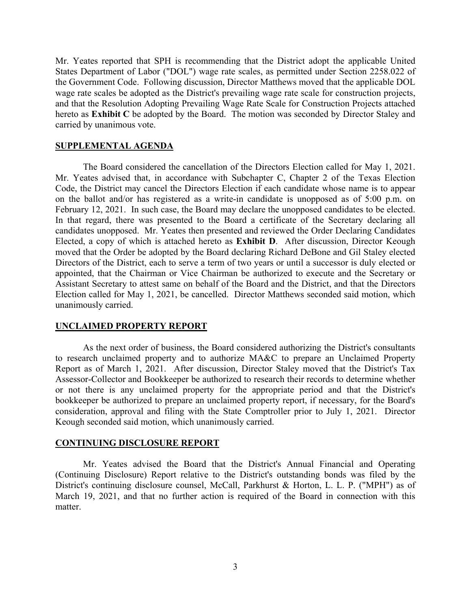Mr. Yeates reported that SPH is recommending that the District adopt the applicable United States Department of Labor ("DOL") wage rate scales, as permitted under Section 2258.022 of the Government Code. Following discussion, Director Matthews moved that the applicable DOL wage rate scales be adopted as the District's prevailing wage rate scale for construction projects, and that the Resolution Adopting Prevailing Wage Rate Scale for Construction Projects attached hereto as **Exhibit C** be adopted by the Board. The motion was seconded by Director Staley and carried by unanimous vote.

# **SUPPLEMENTAL AGENDA**

 The Board considered the cancellation of the Directors Election called for May 1, 2021. Mr. Yeates advised that, in accordance with Subchapter C, Chapter 2 of the Texas Election Code, the District may cancel the Directors Election if each candidate whose name is to appear on the ballot and/or has registered as a write-in candidate is unopposed as of 5:00 p.m. on February 12, 2021. In such case, the Board may declare the unopposed candidates to be elected. In that regard, there was presented to the Board a certificate of the Secretary declaring all candidates unopposed. Mr. Yeates then presented and reviewed the Order Declaring Candidates Elected, a copy of which is attached hereto as **Exhibit D**. After discussion, Director Keough moved that the Order be adopted by the Board declaring Richard DeBone and Gil Staley elected Directors of the District, each to serve a term of two years or until a successor is duly elected or appointed, that the Chairman or Vice Chairman be authorized to execute and the Secretary or Assistant Secretary to attest same on behalf of the Board and the District, and that the Directors Election called for May 1, 2021, be cancelled. Director Matthews seconded said motion, which unanimously carried.

#### **UNCLAIMED PROPERTY REPORT**

 As the next order of business, the Board considered authorizing the District's consultants to research unclaimed property and to authorize MA&C to prepare an Unclaimed Property Report as of March 1, 2021. After discussion, Director Staley moved that the District's Tax Assessor-Collector and Bookkeeper be authorized to research their records to determine whether or not there is any unclaimed property for the appropriate period and that the District's bookkeeper be authorized to prepare an unclaimed property report, if necessary, for the Board's consideration, approval and filing with the State Comptroller prior to July 1, 2021. Director Keough seconded said motion, which unanimously carried.

#### **CONTINUING DISCLOSURE REPORT**

 Mr. Yeates advised the Board that the District's Annual Financial and Operating (Continuing Disclosure) Report relative to the District's outstanding bonds was filed by the District's continuing disclosure counsel, McCall, Parkhurst & Horton, L. L. P. ("MPH") as of March 19, 2021, and that no further action is required of the Board in connection with this matter.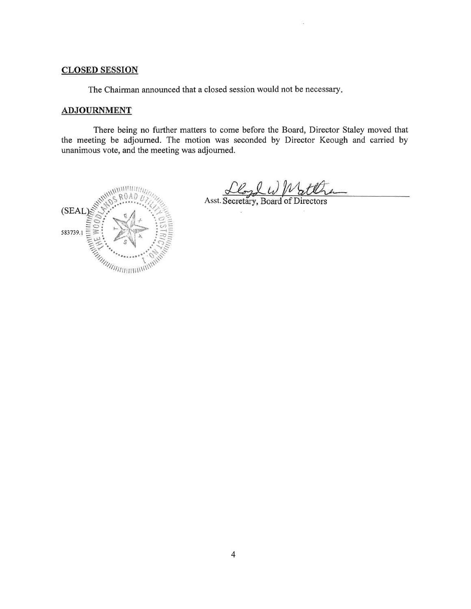# **CLOSED SESSION**

The Chairman announced that a closed session would not be necessary.

## **ADJOURNMENT**

There being no further matters to come before the Board, Director Staley moved that the meeting be adjourned. The motion was seconded by Director Keough and carried by unanimous vote, and the meeting was adjourned.



<u>Cloyd W Watth</u>